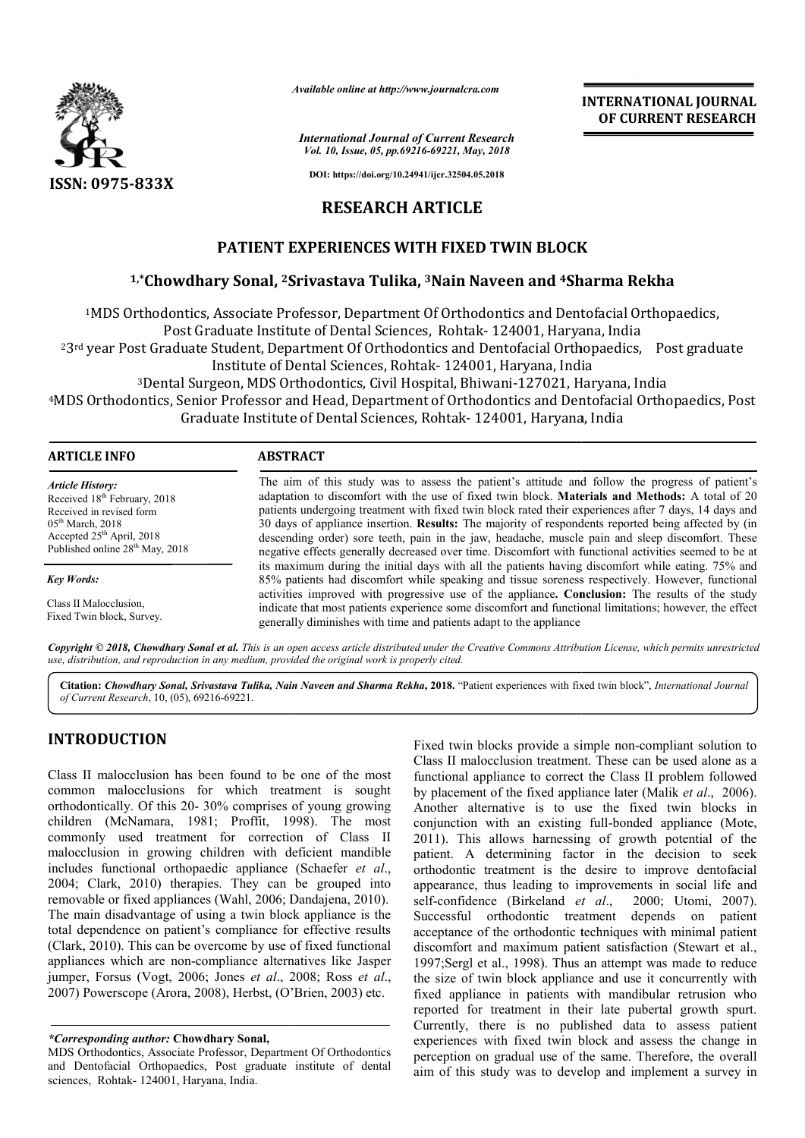

*Available online at http://www.journalcra.com*

*International Journal of Current Research Vol. 10, Issue, 05, pp.69216-69221, May, 2018*

**INTERNATIONAL JOURNAL OF CURRENT RESEARCH**

**DOI: https://doi.org/10.24941/ijcr.32504.05.2018**

## **RESEARCH ARTICLE**

# **PATIENT EXPERIENCES WITH FIXED TWIN BLOCK**

# PATIENT EXPERIENCES WITH FIXED TWIN BLOCK<br><sup>1,</sup>\*Chowdhary Sonal, <sup>2</sup>Srivastava Tulika, <sup>3</sup>Nain Naveen and <sup>4</sup>Sharma Rekha

1MDS Orthodontics, Associate Professor, Department Of Orthodontics and Dentofacial Orthopaedics, Post Graduate Institute of Dental Sciences, Rohtak- 124001, Haryana, India <sup>2</sup>3<sup>rd</sup> year Post Graduate Student, Department Of Orthodontics and Dentofacial Orthopaedics, Post graduate Student, Department Of Orthodontics and Dentofacial Ortho<br>Institute of Dental Sciences, Rohtak- 124001, Haryana, India Institute of Dental Sciences, Rohtak- 124001, Haryana, India<br>127021, Haryana, India (Bhiwani-127021, Haryana, India <sup>4</sup>MDS Orthodontics, Senior Professor and Head, Department of Orthodontics and Dentofacial Orthopaedics, Post<br>Graduate Institute of Dental Sciences, Rohtak- 124001, Haryana, India Graduate Institute of Dental Sciences, Rohtak- 124001, Haryana

| <b>ARTICLE INFO</b>                                                                                                                                                                                           | <b>ABSTRACT</b>                                                                                                                                                                                                                                                                                                                                                                                                                                                                                                                                                                                                                        |  |  |  |  |
|---------------------------------------------------------------------------------------------------------------------------------------------------------------------------------------------------------------|----------------------------------------------------------------------------------------------------------------------------------------------------------------------------------------------------------------------------------------------------------------------------------------------------------------------------------------------------------------------------------------------------------------------------------------------------------------------------------------------------------------------------------------------------------------------------------------------------------------------------------------|--|--|--|--|
| <b>Article History:</b><br>Received 18 <sup>th</sup> February, 2018<br>Received in revised form<br>$05th$ March, 2018<br>Accepted 25 <sup>th</sup> April, 2018<br>Published online 28 <sup>th</sup> May, 2018 | The aim of this study was to assess the patient's attitude and follow the progress of patient's<br>adaptation to discomfort with the use of fixed twin block. Materials and Methods: A total of 20<br>patients undergoing treatment with fixed twin block rated their experiences after 7 days, 14 days and<br>30 days of appliance insertion. <b>Results:</b> The majority of respondents reported being affected by (in<br>descending order) sore teeth, pain in the jaw, headache, muscle pain and sleep discomfort. These<br>negative effects generally decreased over time. Discomfort with functional activities seemed to be at |  |  |  |  |
| <b>Key Words:</b>                                                                                                                                                                                             | its maximum during the initial days with all the patients having discomfort while eating. 75% and<br>85% patients had discomfort while speaking and tissue soreness respectively. However, functional                                                                                                                                                                                                                                                                                                                                                                                                                                  |  |  |  |  |
| Class II Malocclusion,<br>Fixed Twin block, Survey.                                                                                                                                                           | activities improved with progressive use of the appliance. Conclusion: The results of the study<br>indicate that most patients experience some discomfort and functional limitations; however, the effect<br>generally diminishes with time and patients adapt to the appliance                                                                                                                                                                                                                                                                                                                                                        |  |  |  |  |

Copyright © 2018, Chowdhary Sonal et al. This is an open access article distributed under the Creative Commons Attribution License, which permits unrestrictea *use, distribution, and reproduction in any medium, provided the original work is properly cited.*

Citation: Chowdhary Sonal, Srivastava Tulika, Nain Naveen and Sharma Rekha, 2018. "Patient experiences with fixed twin block", *International Journal of Current Research*, 10, (05), 69216-69221.

# **INTRODUCTION**

Class II malocclusion has been found to be one of the most common malocclusions for which treatment is sought orthodontically. Of this 20- 30% comprises of young growing children (McNamara, 1981; Proffit, 1998). The most commonly used treatment for correction of Class II malocclusion in growing children with deficient mandible includes functional orthopaedic appliance (Schaefer *et al*., 2004; Clark, 2010) therapies. They can be grouped into removable or fixed appliances (Wahl, 2006; Dandajena, 2010). The main disadvantage of using a twin block appliance is the total dependence on patient's compliance for effective results (Clark, 2010). This can be overcome by use of fixed functional appliances which are non-compliance alternatives like Jasper (Clark, 2010). This can be overcome by use of fixed functional appliances which are non-compliance alternatives like Jasper jumper, Forsus (Vogt, 2006; Jones *et al.*, 2008; Ross *et al.*, 2007) Powerscope (Arora, 2008), Herbst, (O'Brien, 2003) etc.

Fixed twin blocks provide a simple non-compliant solution to Class II malocclusion treatment. These can be used alone as a functional appliance to correct the Class II problem followed functional appliance to correct the Class II problem followed<br>by placement of the fixed appliance later (Malik *et al.*, 2006). Another alternative is to use the fixed twin blocks in Another alternative is to use the fixed twin blocks in conjunction with an existing full-bonded appliance (Mote, 2011). This allows harnessing of growth potential of the patient. A determining factor in the decision to seek orthodontic treatment is the desire to improve dentofacial appearance, thus leading to improvements in social life and self-confidence (Birkeland *et al.*, 2000; Utomi, 2007). self-confidence (Birkeland *et al* Successful orthodontic treatment depends on patient acceptance of the orthodontic techniques with minimal patient discomfort and maximum patient satisfaction (Stewart et al., 1997;Sergl et al., 1998). Thus an attempt was made to reduce the size of twin block appliance and use it concurrently with fixed appliance in patients with mandibular retrusion who reported for treatment in their late pubertal growth spurt. Currently, there is no published data to assess patient experiences with fixed twin block and assess the change in perception on gradual use of the same. Therefore, the overall aim of this study was to develop and implement a survey in allows harnessing of growth potential of the determining factor in the decision to seek treatment is the desire to improve dentofacial thus leading to improvements in social life and ce (Birkeland *et al.*, 2000; Utomi, 2 orthodontic treatment depends on patient<br>of the orthodontic techniques with minimal patient<br>and maximum patient satisfaction (Stewart et al., gl et al., 1998). Thus an attempt was made to reduce<br>of twin block appliance and use it concurrently with<br>bliance in patients with mandibular retrusion who<br>for treatment in their late pubertal growth spurt.<br>there is no pub **EXERVATIONAL JOURNAL FORMAL POINTERNATIONAL JOURNAL CONVINIBAL CONTOURNAL CONVINIBATION (CHEVAT THE SURVENT RESEEARCH (F16-6921). AND 7801<br>
40 CHEVATE THE TRISED TWIN BLOCK CONTENT RESEEARCH (F16-6921). AND 7801 PHICHAE** 

*<sup>\*</sup>Corresponding author:* **Chowdhary Sonal,**

MDS Orthodontics, Associate Professor, Department Of Orthodontics and Dentofacial Orthopaedics, Post graduate institute of dental sciences, Rohtak- 124001, Haryana, India.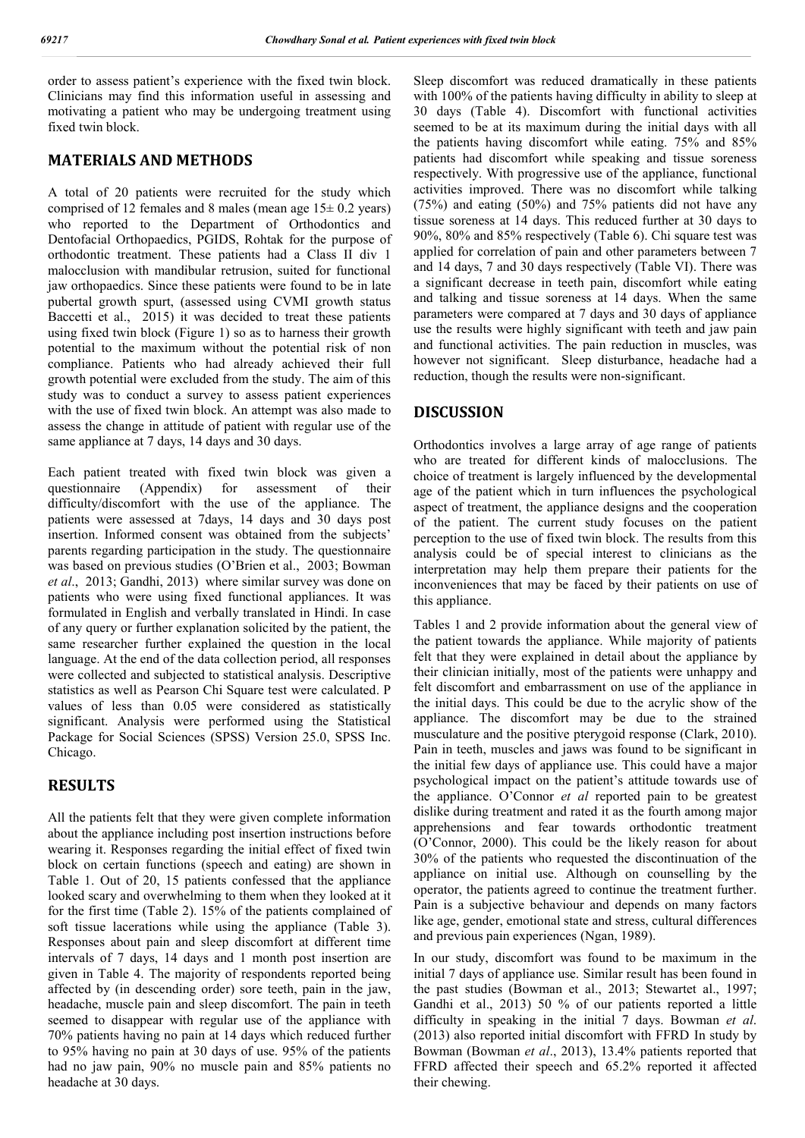order to assess patient's experience with the fixed twin block. Clinicians may find this information useful in assessing and motivating a patient who may be undergoing treatment using fixed twin block.

### **MATERIALS AND METHODS**

A total of 20 patients were recruited for the study which comprised of 12 females and 8 males (mean age  $15 \pm 0.2$  years) who reported to the Department of Orthodontics and Dentofacial Orthopaedics, PGIDS, Rohtak for the purpose of orthodontic treatment. These patients had a Class II div 1 malocclusion with mandibular retrusion, suited for functional jaw orthopaedics. Since these patients were found to be in late pubertal growth spurt, (assessed using CVMI growth status Baccetti et al., 2015) it was decided to treat these patients using fixed twin block (Figure 1) so as to harness their growth potential to the maximum without the potential risk of non compliance. Patients who had already achieved their full growth potential were excluded from the study. The aim of this study was to conduct a survey to assess patient experiences with the use of fixed twin block. An attempt was also made to assess the change in attitude of patient with regular use of the same appliance at 7 days, 14 days and 30 days.

Each patient treated with fixed twin block was given a questionnaire (Appendix) for assessment of their difficulty/discomfort with the use of the appliance. The patients were assessed at 7days, 14 days and 30 days post insertion. Informed consent was obtained from the subjects' parents regarding participation in the study. The questionnaire was based on previous studies (O'Brien et al., 2003; Bowman *et al*., 2013; Gandhi, 2013) where similar survey was done on patients who were using fixed functional appliances. It was formulated in English and verbally translated in Hindi. In case of any query or further explanation solicited by the patient, the same researcher further explained the question in the local language. At the end of the data collection period, all responses were collected and subjected to statistical analysis. Descriptive statistics as well as Pearson Chi Square test were calculated. P values of less than 0.05 were considered as statistically significant. Analysis were performed using the Statistical Package for Social Sciences (SPSS) Version 25.0, SPSS Inc. Chicago.

## **RESULTS**

All the patients felt that they were given complete information about the appliance including post insertion instructions before wearing it. Responses regarding the initial effect of fixed twin block on certain functions (speech and eating) are shown in Table 1. Out of 20, 15 patients confessed that the appliance looked scary and overwhelming to them when they looked at it for the first time (Table 2). 15% of the patients complained of soft tissue lacerations while using the appliance (Table 3). Responses about pain and sleep discomfort at different time intervals of 7 days, 14 days and 1 month post insertion are given in Table 4. The majority of respondents reported being affected by (in descending order) sore teeth, pain in the jaw, headache, muscle pain and sleep discomfort. The pain in teeth seemed to disappear with regular use of the appliance with 70% patients having no pain at 14 days which reduced further to 95% having no pain at 30 days of use. 95% of the patients had no jaw pain, 90% no muscle pain and 85% patients no headache at 30 days.

Sleep discomfort was reduced dramatically in these patients with 100% of the patients having difficulty in ability to sleep at 30 days (Table 4). Discomfort with functional activities seemed to be at its maximum during the initial days with all the patients having discomfort while eating. 75% and 85% patients had discomfort while speaking and tissue soreness respectively. With progressive use of the appliance, functional activities improved. There was no discomfort while talking (75%) and eating (50%) and 75% patients did not have any tissue soreness at 14 days. This reduced further at 30 days to 90%, 80% and 85% respectively (Table 6). Chi square test was applied for correlation of pain and other parameters between 7 and 14 days, 7 and 30 days respectively (Table VI). There was a significant decrease in teeth pain, discomfort while eating and talking and tissue soreness at 14 days. When the same parameters were compared at 7 days and 30 days of appliance use the results were highly significant with teeth and jaw pain and functional activities. The pain reduction in muscles, was however not significant. Sleep disturbance, headache had a reduction, though the results were non-significant.

#### **DISCUSSION**

Orthodontics involves a large array of age range of patients who are treated for different kinds of malocclusions. The choice of treatment is largely influenced by the developmental age of the patient which in turn influences the psychological aspect of treatment, the appliance designs and the cooperation of the patient. The current study focuses on the patient perception to the use of fixed twin block. The results from this analysis could be of special interest to clinicians as the interpretation may help them prepare their patients for the inconveniences that may be faced by their patients on use of this appliance.

Tables 1 and 2 provide information about the general view of the patient towards the appliance. While majority of patients felt that they were explained in detail about the appliance by their clinician initially, most of the patients were unhappy and felt discomfort and embarrassment on use of the appliance in the initial days. This could be due to the acrylic show of the appliance. The discomfort may be due to the strained musculature and the positive pterygoid response (Clark, 2010). Pain in teeth, muscles and jaws was found to be significant in the initial few days of appliance use. This could have a major psychological impact on the patient's attitude towards use of the appliance. O'Connor *et al* reported pain to be greatest dislike during treatment and rated it as the fourth among major apprehensions and fear towards orthodontic treatment (O'Connor, 2000). This could be the likely reason for about 30% of the patients who requested the discontinuation of the appliance on initial use. Although on counselling by the operator, the patients agreed to continue the treatment further. Pain is a subjective behaviour and depends on many factors like age, gender, emotional state and stress, cultural differences and previous pain experiences (Ngan, 1989).

In our study, discomfort was found to be maximum in the initial 7 days of appliance use. Similar result has been found in the past studies (Bowman et al., 2013; Stewartet al., 1997; Gandhi et al., 2013) 50 % of our patients reported a little difficulty in speaking in the initial 7 days. Bowman *et al*. (2013) also reported initial discomfort with FFRD In study by Bowman (Bowman *et al*., 2013), 13.4% patients reported that FFRD affected their speech and 65.2% reported it affected their chewing.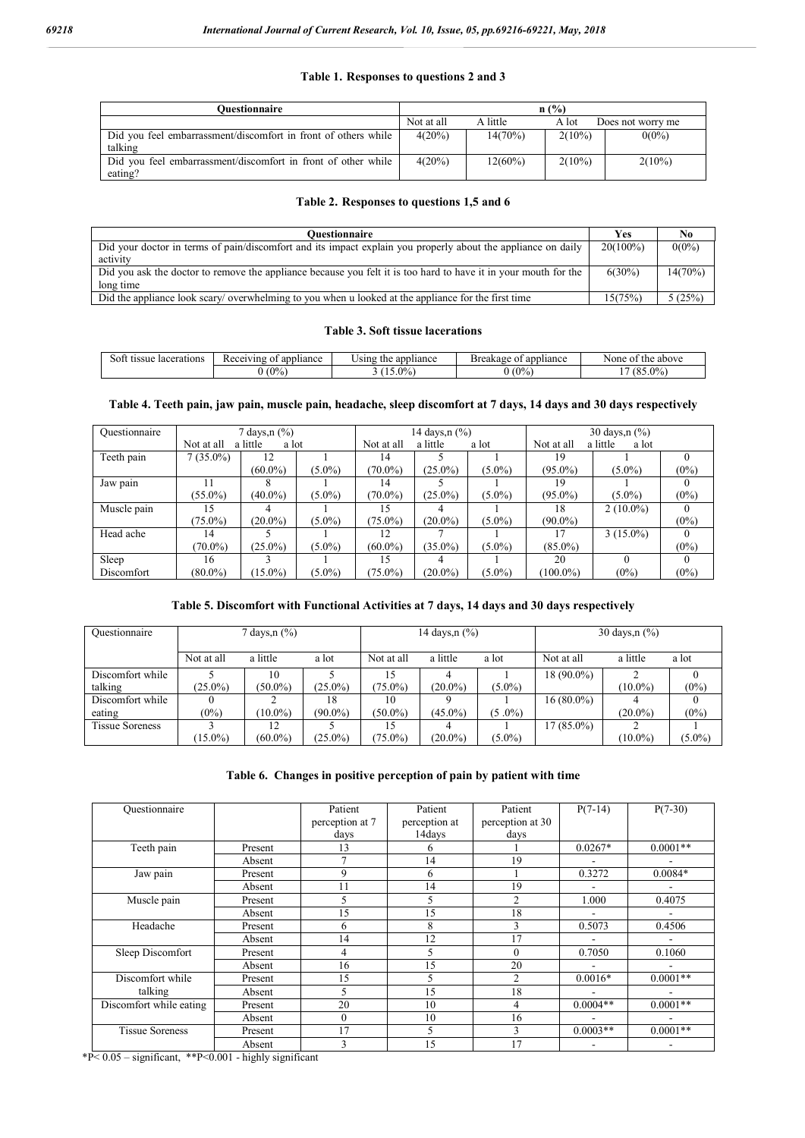#### **Table 1. Responses to questions 2 and 3**

| Ouestionnaire                                                  |            |            | n(%)      |                   |
|----------------------------------------------------------------|------------|------------|-----------|-------------------|
|                                                                | Not at all | A little   | A lot     | Does not worry me |
| Did you feel embarrassment/discomfort in front of others while | $4(20\%)$  | $14(70\%)$ | $2(10\%)$ | $0(0\%)$          |
| talking                                                        |            |            |           |                   |
| Did you feel embarrassment/discomfort in front of other while  | $4(20\%)$  | $12(60\%)$ | $2(10\%)$ | $2(10\%)$         |
| eating?                                                        |            |            |           |                   |

#### **Table 2. Responses to questions 1,5 and 6**

| <b>Ouestionnaire</b>                                                                                            | Yes         | No       |
|-----------------------------------------------------------------------------------------------------------------|-------------|----------|
| Did your doctor in terms of pain/discomfort and its impact explain you properly about the appliance on daily    | $20(100\%)$ | $0(0\%)$ |
| activity                                                                                                        |             |          |
| Did you ask the doctor to remove the appliance because you felt it is too hard to have it in your mouth for the | $6(30\%)$   | 14(70%)  |
| long time                                                                                                       |             |          |
| Did the appliance look scary/ overwhelming to you when u looked at the appliance for the first time             | 15(75%)     | 5(25%)   |

#### **Table 3. Soft tissue lacerations**

| lacerations<br>tissue<br>Sott | Receiving<br>appliance<br>ΩŤ             | appliance: ¿<br>Using<br>the | appliance<br>Breakage<br>. OT | above<br>the<br>None<br>$^{\circ}$                |
|-------------------------------|------------------------------------------|------------------------------|-------------------------------|---------------------------------------------------|
|                               | $\Omega$<br>$\sqrt{0}$ .<br>$\mathbf{v}$ | $5.0\%$                      | (0%                           | $(85.0\%)$<br>$\overline{\phantom{0}}$<br>$\cdot$ |

#### **Table 4. Teeth pain, jaw pain, muscle pain, headache, sleep discomfort at 7 days, 14 days and 30 days respectively**

| Ouestionnaire | 7 days, n (%) |                   |           | 14 days,n (%) |                   |           | 30 days, $n$ $\frac{9}{6}$ |                                 |         |  |
|---------------|---------------|-------------------|-----------|---------------|-------------------|-----------|----------------------------|---------------------------------|---------|--|
|               | Not at all    | a little<br>a lot |           | Not at all    | a little<br>a lot |           |                            | a little<br>Not at all<br>a lot |         |  |
| Teeth pain    | $7(35.0\%)$   |                   |           | 14            |                   |           | 19                         |                                 |         |  |
|               |               | $(60.0\%)$        | $(5.0\%)$ | $(70.0\%)$    | $(25.0\%)$        | $(5.0\%)$ | $(95.0\%)$                 | $(5.0\%)$                       | $(0\%)$ |  |
| Jaw pain      |               |                   |           | 14            |                   |           | 19                         |                                 |         |  |
|               | $(55.0\%)$    | $(40.0\%)$        | $(5.0\%)$ | $(70.0\%)$    | $(25.0\%)$        | $(5.0\%)$ | $(95.0\%)$                 | $(5.0\%)$                       | $(0\%)$ |  |
| Muscle pain   | 15            |                   |           | 15            |                   |           | 18                         | $2(10.0\%)$                     |         |  |
|               | $(75.0\%)$    | $(20.0\%)$        | $(5.0\%)$ | $75.0\%$      | $(20.0\%)$        | $(5.0\%)$ | $(90.0\%)$                 |                                 | $(0\%)$ |  |
| Head ache     | 14            |                   |           | 12            |                   |           | 17                         | $3(15.0\%)$                     |         |  |
|               | $(70.0\%)$    | $(25.0\%)$        | $(5.0\%)$ | $(60.0\%)$    | $(35.0\%)$        | $(5.0\%)$ | $(85.0\%)$                 |                                 | $(0\%)$ |  |
| Sleep         | 16            |                   |           | 15            | 4                 |           | 20                         | $\Omega$                        |         |  |
| Discomfort    | $(80.0\%)$    | $15.0\%$          | $(5.0\%)$ | $75.0\%$      | $(20.0\%)$        | $(5.0\%)$ | $(100.0\%)$                | $(0\%)$                         | $(0\%)$ |  |

#### **Table 5. Discomfort with Functional Activities at 7 days, 14 days and 30 days respectively**

| Ouestionnaire          | days, n $(\%)$ |            |            | 14 days, $n$ $\frac{6}{6}$ |            |           | 30 days, $n$ $\frac{6}{6}$ |            |           |
|------------------------|----------------|------------|------------|----------------------------|------------|-----------|----------------------------|------------|-----------|
|                        | Not at all     | a little   | a lot      | Not at all                 | a little   | a lot     | Not at all                 | a little   | a lot     |
| Discomfort while       |                | 10         |            | 15                         |            |           | $18(90.0\%)$               |            |           |
| talking                | $(25.0\%)$     | $(50.0\%)$ | $(25.0\%)$ | $(75.0\%)$                 | $(20.0\%)$ | $(5.0\%)$ |                            | $(10.0\%)$ | $(0\%)$   |
| Discomfort while       |                |            | 18         | 10                         |            |           | $16(80.0\%)$               |            |           |
| eating                 | $(0\%)$        | $(10.0\%)$ | $(90.0\%)$ | $(50.0\%)$                 | $(45.0\%)$ | $(5.0\%)$ |                            | $(20.0\%)$ | $(0\%)$   |
| <b>Tissue Soreness</b> |                | 12         |            | 15                         |            |           | 17 (85.0%)                 |            |           |
|                        | $(15.0\%)$     | $(60.0\%)$ | $(25.0\%)$ | $(75.0\%)$                 | $(20.0\%)$ | $(5.0\%)$ |                            | $(10.0\%)$ | $(5.0\%)$ |

#### **Table 6. Changes in positive perception of pain by patient with time**

| Ouestionnaire           |         | Patient         | Patient       | Patient          | $P(7-14)$                | $P(7-30)$  |
|-------------------------|---------|-----------------|---------------|------------------|--------------------------|------------|
|                         |         | perception at 7 | perception at | perception at 30 |                          |            |
|                         |         | days            | 14days        | days             |                          |            |
| Teeth pain              | Present | 13              | 6             |                  | $0.0267*$                | $0.0001**$ |
|                         | Absent  | $\overline{7}$  | 14            | 19               | $\blacksquare$           |            |
| Jaw pain                | Present | 9               | 6             |                  | 0.3272                   | $0.0084*$  |
|                         | Absent  | 11              | 14            | 19               | $\blacksquare$           |            |
| Muscle pain             | Present | 5               | 5             | $\overline{c}$   | 1.000                    | 0.4075     |
|                         | Absent  | 15              | 15            | 18               | $\overline{a}$           |            |
| Headache                | Present | 6               | 8             | 3                | 0.5073                   | 0.4506     |
|                         | Absent  | 14              | 12            | 17               | $\overline{\phantom{a}}$ |            |
| Sleep Discomfort        | Present | 4               | 5             | $\theta$         | 0.7050                   | 0.1060     |
|                         | Absent  | 16              | 15            | 20               | $\blacksquare$           |            |
| Discomfort while        | Present | 15              |               | 2                | $0.0016*$                | $0.0001**$ |
| talking                 | Absent  | 5               | 15            | 18               |                          |            |
| Discomfort while eating | Present | 20              | 10            | 4                | $0.0004**$               | $0.0001**$ |
|                         | Absent  | $\mathbf{0}$    | 10            | 16               |                          |            |
| <b>Tissue Soreness</b>  | Present | 17              | 5             | 3                | $0.0003**$               | $0.0001**$ |
|                         | Absent  | 3               | 15            | 17               | $\blacksquare$           |            |

\*P< 0.05 – significant, \*\*P<0.001 - highly significant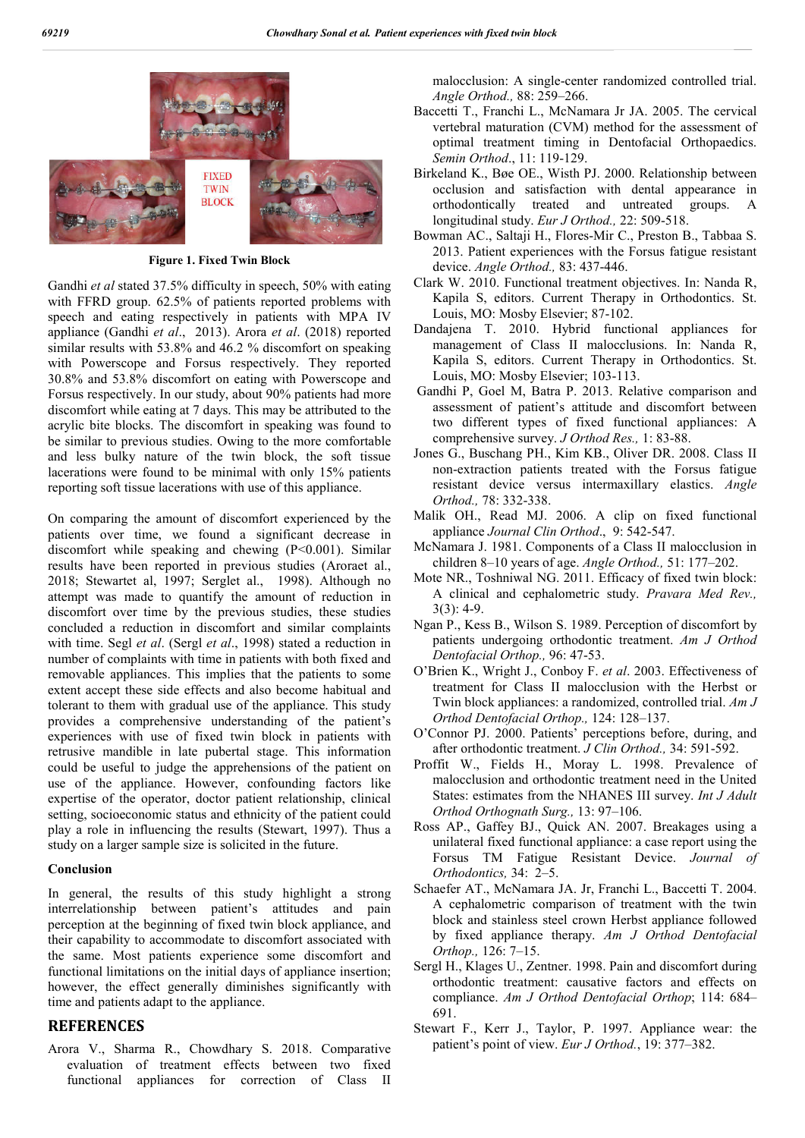

**Figure 1. Fixed Twin Block**

Gandhi *et al* stated 37.5% difficulty in speech, 50% with eating with FFRD group. 62.5% of patients reported problems with speech and eating respectively in patients with MPA IV appliance (Gandhi *et al*., 2013). Arora *et al*. (2018) reported similar results with 53.8% and 46.2 % discomfort on speaking with Powerscope and Forsus respectively. They reported 30.8% and 53.8% discomfort on eating with Powerscope and Forsus respectively. In our study, about 90% patients had more discomfort while eating at 7 days. This may be attributed to the acrylic bite blocks. The discomfort in speaking was found to be similar to previous studies. Owing to the more comfortable and less bulky nature of the twin block, the soft tissue lacerations were found to be minimal with only 15% patients reporting soft tissue lacerations with use of this appliance.

On comparing the amount of discomfort experienced by the patients over time, we found a significant decrease in discomfort while speaking and chewing  $(P<0.001)$ . Similar results have been reported in previous studies (Aroraet al., 2018; Stewartet al, 1997; Serglet al., 1998). Although no attempt was made to quantify the amount of reduction in discomfort over time by the previous studies, these studies concluded a reduction in discomfort and similar complaints with time. Segl *et al*. (Sergl *et al*., 1998) stated a reduction in number of complaints with time in patients with both fixed and removable appliances. This implies that the patients to some extent accept these side effects and also become habitual and tolerant to them with gradual use of the appliance. This study provides a comprehensive understanding of the patient's experiences with use of fixed twin block in patients with retrusive mandible in late pubertal stage. This information could be useful to judge the apprehensions of the patient on use of the appliance. However, confounding factors like expertise of the operator, doctor patient relationship, clinical setting, socioeconomic status and ethnicity of the patient could play a role in influencing the results (Stewart, 1997). Thus a study on a larger sample size is solicited in the future.

#### **Conclusion**

In general, the results of this study highlight a strong interrelationship between patient's attitudes and pain perception at the beginning of fixed twin block appliance, and their capability to accommodate to discomfort associated with the same. Most patients experience some discomfort and functional limitations on the initial days of appliance insertion; however, the effect generally diminishes significantly with time and patients adapt to the appliance.

## **REFERENCES**

Arora V., Sharma R., Chowdhary S. 2018. Comparative evaluation of treatment effects between two fixed functional appliances for correction of Class II malocclusion: A single-center randomized controlled trial. *Angle Orthod.,* 88: 259–266.

- Baccetti T., Franchi L., McNamara Jr JA. 2005. The cervical vertebral maturation (CVM) method for the assessment of optimal treatment timing in Dentofacial Orthopaedics. *Semin Orthod*., 11: 119-129.
- Birkeland K., Bøe OE., Wisth PJ. 2000. Relationship between occlusion and satisfaction with dental appearance in orthodontically treated and untreated groups. A longitudinal study. *Eur J Orthod.,* 22: 509-518.
- Bowman AC., Saltaji H., Flores-Mir C., Preston B., Tabbaa S. 2013. Patient experiences with the Forsus fatigue resistant device. *Angle Orthod.,* 83: 437-446.
- Clark W. 2010. Functional treatment objectives. In: Nanda R, Kapila S, editors. Current Therapy in Orthodontics. St. Louis, MO: Mosby Elsevier; 87-102.
- Dandajena T. 2010. Hybrid functional appliances for management of Class II malocclusions. In: Nanda R, Kapila S, editors. Current Therapy in Orthodontics. St. Louis, MO: Mosby Elsevier; 103-113.
- Gandhi P, Goel M, Batra P. 2013. Relative comparison and assessment of patient's attitude and discomfort between two different types of fixed functional appliances: A comprehensive survey. *J Orthod Res.,* 1: 83-88.
- Jones G., Buschang PH., Kim KB., Oliver DR. 2008. Class II non-extraction patients treated with the Forsus fatigue resistant device versus intermaxillary elastics. *Angle Orthod.,* 78: 332-338.
- Malik OH., Read MJ. 2006. A clip on fixed functional appliance *Journal Clin Orthod*., 9: 542-547.
- McNamara J. 1981. Components of a Class II malocclusion in children 8–10 years of age. *Angle Orthod.,* 51: 177–202.
- Mote NR., Toshniwal NG. 2011. Efficacy of fixed twin block: A clinical and cephalometric study. *Pravara Med Rev.,*  $3(3)$ : 4-9.
- Ngan P., Kess B., Wilson S. 1989. Perception of discomfort by patients undergoing orthodontic treatment. *Am J Orthod Dentofacial Orthop.,* 96: 47-53.
- O'Brien K., Wright J., Conboy F. *et al*. 2003. Effectiveness of treatment for Class II malocclusion with the Herbst or Twin block appliances: a randomized, controlled trial. *Am J Orthod Dentofacial Orthop.,* 124: 128–137.
- O'Connor PJ. 2000. Patients' perceptions before, during, and after orthodontic treatment. *J Clin Orthod.,* 34: 591-592.
- Proffit W., Fields H., Moray L. 1998. Prevalence of malocclusion and orthodontic treatment need in the United States: estimates from the NHANES III survey. *Int J Adult Orthod Orthognath Surg.,* 13: 97–106.
- Ross AP., Gaffey BJ., Quick AN. 2007. Breakages using a unilateral fixed functional appliance: a case report using the Forsus TM Fatigue Resistant Device. *Journal of Orthodontics,* 34: 2–5.
- Schaefer AT., McNamara JA. Jr, Franchi L., Baccetti T. 2004. A cephalometric comparison of treatment with the twin block and stainless steel crown Herbst appliance followed by fixed appliance therapy. *Am J Orthod Dentofacial Orthop.,* 126: 7–15.
- Sergl H., Klages U., Zentner. 1998. Pain and discomfort during orthodontic treatment: causative factors and effects on compliance. *Am J Orthod Dentofacial Orthop*; 114: 684– 691.
- Stewart F., Kerr J., Taylor, P. 1997. Appliance wear: the patient's point of view. *Eur J Orthod.*, 19: 377–382.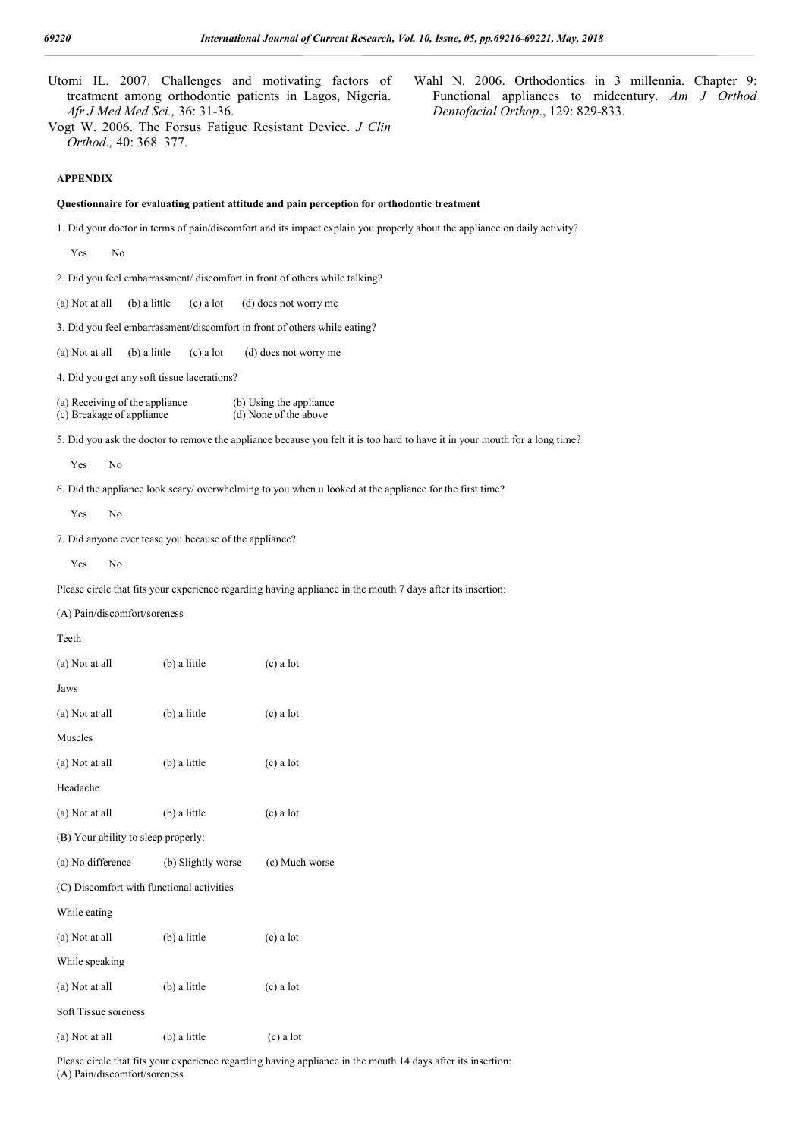| Afr J Med Med Sci., 36: 31-36.                              |                    | Wahl N. 2006. Orthodontics in 3 millennia. Chapter 9:<br>Utomi IL. 2007. Challenges and motivating factors of<br>treatment among orthodontic patients in Lagos, Nigeria.<br>Functional appliances to midcentury. Am J Orthod<br>Dentofacial Orthop., 129: 829-833.<br>Vogt W. 2006. The Forsus Fatigue Resistant Device. J Clin |
|-------------------------------------------------------------|--------------------|---------------------------------------------------------------------------------------------------------------------------------------------------------------------------------------------------------------------------------------------------------------------------------------------------------------------------------|
| Orthod., 40: 368-377.                                       |                    |                                                                                                                                                                                                                                                                                                                                 |
| <b>APPENDIX</b>                                             |                    |                                                                                                                                                                                                                                                                                                                                 |
|                                                             |                    | Questionnaire for evaluating patient attitude and pain perception for orthodontic treatment                                                                                                                                                                                                                                     |
|                                                             |                    | 1. Did your doctor in terms of pain/discomfort and its impact explain you properly about the appliance on daily activity?                                                                                                                                                                                                       |
| No<br>Yes                                                   |                    |                                                                                                                                                                                                                                                                                                                                 |
|                                                             |                    | 2. Did you feel embarrassment/ discomfort in front of others while talking?                                                                                                                                                                                                                                                     |
| (a) Not at all<br>(b) a little                              | $(c)$ a lot        | (d) does not worry me                                                                                                                                                                                                                                                                                                           |
|                                                             |                    | 3. Did you feel embarrassment/discomfort in front of others while eating?                                                                                                                                                                                                                                                       |
| (a) Not at all<br>(b) a little                              | $(c)$ a lot        | (d) does not worry me                                                                                                                                                                                                                                                                                                           |
| 4. Did you get any soft tissue lacerations?                 |                    |                                                                                                                                                                                                                                                                                                                                 |
| (a) Receiving of the appliance<br>(c) Breakage of appliance |                    | (b) Using the appliance<br>(d) None of the above                                                                                                                                                                                                                                                                                |
|                                                             |                    | 5. Did you ask the doctor to remove the appliance because you felt it is too hard to have it in your mouth for a long time?                                                                                                                                                                                                     |
| Yes<br>N <sub>0</sub>                                       |                    |                                                                                                                                                                                                                                                                                                                                 |
|                                                             |                    | 6. Did the appliance look scary/ overwhelming to you when u looked at the appliance for the first time?                                                                                                                                                                                                                         |
| Yes<br>N <sub>0</sub>                                       |                    |                                                                                                                                                                                                                                                                                                                                 |
| 7. Did anyone ever tease you because of the appliance?      |                    |                                                                                                                                                                                                                                                                                                                                 |
| Yes<br>N <sub>0</sub>                                       |                    |                                                                                                                                                                                                                                                                                                                                 |
|                                                             |                    | Please circle that fits your experience regarding having appliance in the mouth 7 days after its insertion:                                                                                                                                                                                                                     |
| (A) Pain/discomfort/soreness                                |                    |                                                                                                                                                                                                                                                                                                                                 |
| Teeth                                                       |                    |                                                                                                                                                                                                                                                                                                                                 |
| (a) Not at all                                              | (b) a little       | $(c)$ a lot                                                                                                                                                                                                                                                                                                                     |
| Jaws                                                        |                    |                                                                                                                                                                                                                                                                                                                                 |
| (a) Not at all                                              | (b) a little       | (c) a lot                                                                                                                                                                                                                                                                                                                       |
| Muscles                                                     |                    |                                                                                                                                                                                                                                                                                                                                 |
| (a) Not at all                                              | (b) a little       | $(c)$ a lot                                                                                                                                                                                                                                                                                                                     |
| Headache                                                    |                    |                                                                                                                                                                                                                                                                                                                                 |
| (a) Not at all                                              | (b) a little       | $(c)$ a lot                                                                                                                                                                                                                                                                                                                     |
| (B) Your ability to sleep properly:                         |                    |                                                                                                                                                                                                                                                                                                                                 |
| (a) No difference                                           | (b) Slightly worse | (c) Much worse                                                                                                                                                                                                                                                                                                                  |
| (C) Discomfort with functional activities                   |                    |                                                                                                                                                                                                                                                                                                                                 |
| While eating                                                |                    |                                                                                                                                                                                                                                                                                                                                 |
| (a) Not at all                                              | (b) a little       | $(c)$ a lot                                                                                                                                                                                                                                                                                                                     |
| While speaking                                              |                    |                                                                                                                                                                                                                                                                                                                                 |
| (a) Not at all                                              | (b) a little       | $(c)$ a lot                                                                                                                                                                                                                                                                                                                     |
| Soft Tissue soreness                                        |                    |                                                                                                                                                                                                                                                                                                                                 |
| (a) Not at all                                              | (b) a little       | $(c)$ a lot                                                                                                                                                                                                                                                                                                                     |

Please circle that fits your experience regarding having appliance in the mouth 14 days after its insertion: (A) Pain/discomfort/soreness